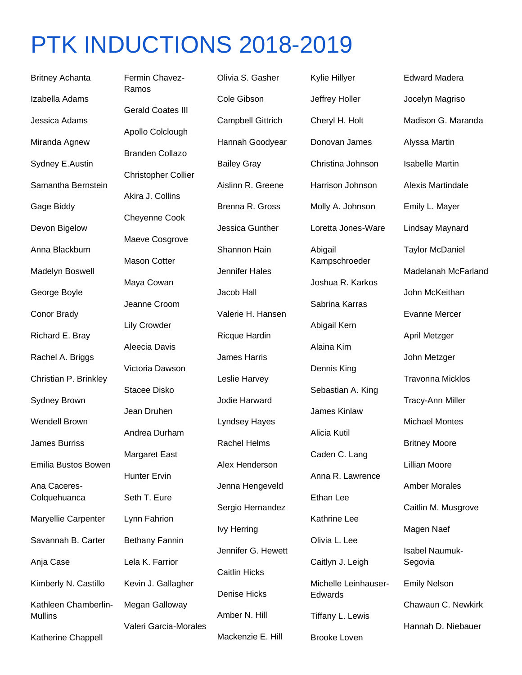## PTK INDUCTIONS 2018-2019

Britney Achanta Izabella Adams Jessica Adams Miranda Agnew Sydney E.Austin Samantha Bernstein Gage Biddy Devon Bigelow Anna Blackburn Madelyn Boswell George Boyle Conor Brady Richard E. Bray Rachel A. Briggs Christian P. Brinkley Sydney Brown Wendell Brown James Burriss Emilia Bustos Bowen Ana Caceres-**Colquehuanca** Maryellie Carpenter Savannah B. Carter Anja Case Kimberly N. Castillo Kathleen Chamberlin-**Mullins** 

Katherine Chappell

Fermin Chavez-Ramos Gerald Coates III Apollo Colclough Branden Collazo Christopher Collier Akira J. Collins Cheyenne Cook Maeve Cosgrove Mason Cotter Maya Cowan Jeanne Croom Lily Crowder Aleecia Davis Victoria Dawson Stacee Disko Jean Druhen Andrea Durham Margaret East Hunter Ervin Seth T. Eure Lynn Fahrion Bethany Fannin Lela K. Farrior Kevin J. Gallagher Megan Galloway Valeri Garcia-Morales

Olivia S. Gasher Cole Gibson Campbell Gittrich Hannah Goodyear Bailey Gray Aislinn R. Greene Brenna R. Gross Jessica Gunther Shannon Hain Jennifer Hales Jacob Hall Valerie H. Hansen Ricque Hardin James Harris Leslie Harvey Jodie Harward Lyndsey Hayes Rachel Helms Alex Henderson Jenna Hengeveld Sergio Hernandez Ivy Herring Jennifer G. Hewett Caitlin Hicks Denise Hicks Amber N. Hill Mackenzie E. Hill

Kylie Hillyer Jeffrey Holler Cheryl H. Holt Donovan James Christina Johnson Harrison Johnson Molly A. Johnson Loretta Jones-Ware Abigail Kampschroeder Joshua R. Karkos Sabrina Karras Abigail Kern Alaina Kim Dennis King Sebastian A. King James Kinlaw Alicia Kutil Caden C. Lang Anna R. Lawrence Ethan Lee Kathrine Lee Olivia L. Lee Caitlyn J. Leigh Michelle Leinhauser-Edwards Tiffany L. Lewis

Brooke Loven

Edward Madera Jocelyn Magriso Madison G. Maranda Alyssa Martin Isabelle Martin Alexis Martindale Emily L. Mayer Lindsay Maynard Taylor McDaniel Madelanah McFarland John McKeithan Evanne Mercer April Metzger John Metzger Travonna Micklos Tracy-Ann Miller Michael Montes Britney Moore Lillian Moore Amber Morales Caitlin M. Musgrove Magen Naef Isabel Naumuk-Segovia Emily Nelson Chawaun C. Newkirk Hannah D. Niebauer